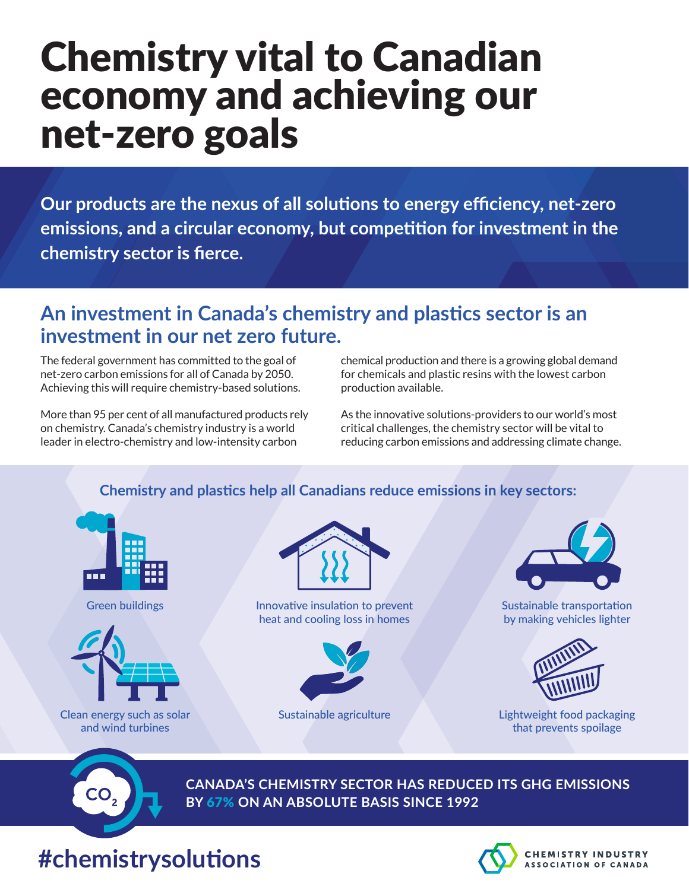# Chemistry vital to Canadian economy and achieving our net-zero goals

**Our products are the nexus of all solutions to energy efficiency, net-zero emissions, and a circular economy, but competition for investment in the chemistry sector is fierce.** 

### **An investment in Canada's chemistry and plastics sector is an investment in our net zero future.**

The federal government has committed to the goal of net-zero carbon emissions for all of Canada by 2050. Achieving this will require chemistry-based solutions.

More than 95 per cent of all manufactured products rely on chemistry. Canada's chemistry industry is a world leader in electro-chemistry and low-intensity carbon

chemical production and there is a growing global demand for chemicals and plastic resins with the lowest carbon production available.

As the innovative solutions-providers to our world's most critical challenges, the chemistry sector will be vital to reducing carbon emissions and addressing climate change.

#### **Chemistry and plastics help all Canadians reduce emissions in key sectors:**



Green buildings



Clean energy such as solar and wind turbines



Innovative insulation to prevent heat and cooling loss in homes



Sustainable agriculture



Sustainable transportation by making vehicles lighter



Lightweight food packaging that prevents spoilage



**CANADA'S CHEMISTRY SECTOR HAS REDUCED ITS GHG EMISSIONS BY** 67% **ON AN ABSOLUTE BASIS SINCE 1992**

## **#chemistrysolutions**